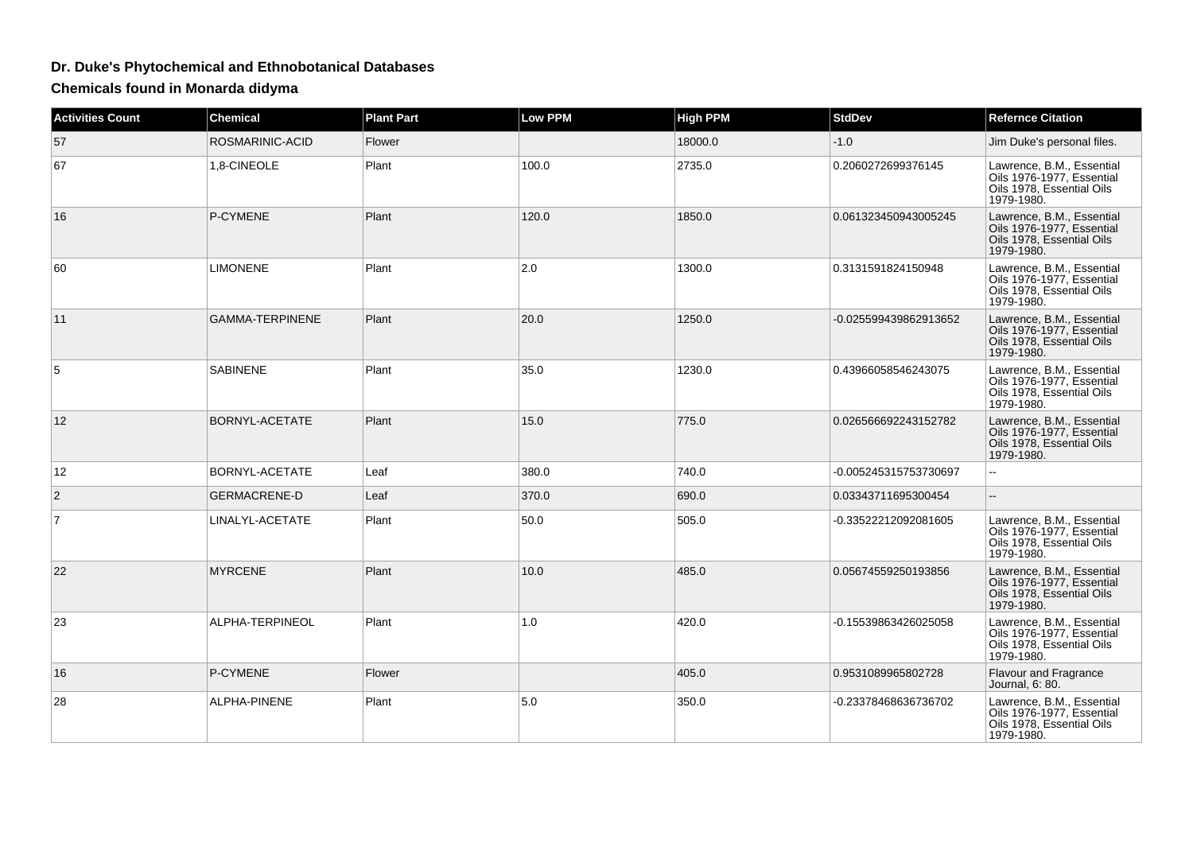## **Dr. Duke's Phytochemical and Ethnobotanical Databases**

**Chemicals found in Monarda didyma**

| <b>Activities Count</b> | <b>Chemical</b>        | <b>Plant Part</b> | <b>Low PPM</b> | <b>High PPM</b> | <b>StdDev</b>         | <b>Refernce Citation</b>                                                                          |
|-------------------------|------------------------|-------------------|----------------|-----------------|-----------------------|---------------------------------------------------------------------------------------------------|
| 57                      | ROSMARINIC-ACID        | Flower            |                | 18000.0         | $-1.0$                | Jim Duke's personal files.                                                                        |
| 67                      | 1,8-CINEOLE            | Plant             | 100.0          | 2735.0          | 0.2060272699376145    | Lawrence, B.M., Essential<br>Oils 1976-1977, Essential<br>Oils 1978. Essential Oils<br>1979-1980. |
| 16                      | P-CYMENE               | Plant             | 120.0          | 1850.0          | 0.061323450943005245  | Lawrence, B.M., Essential<br>Oils 1976-1977, Essential<br>Oils 1978. Essential Oils<br>1979-1980. |
| 60                      | <b>LIMONENE</b>        | Plant             | 2.0            | 1300.0          | 0.3131591824150948    | Lawrence, B.M., Essential<br>Oils 1976-1977. Essential<br>Oils 1978. Essential Oils<br>1979-1980. |
| 11                      | <b>GAMMA-TERPINENE</b> | Plant             | 20.0           | 1250.0          | -0.025599439862913652 | Lawrence, B.M., Essential<br>Oils 1976-1977, Essential<br>Oils 1978, Essential Oils<br>1979-1980. |
| 5                       | <b>SABINENE</b>        | Plant             | 35.0           | 1230.0          | 0.43966058546243075   | Lawrence, B.M., Essential<br>Oils 1976-1977, Essential<br>Oils 1978, Essential Oils<br>1979-1980. |
| 12                      | BORNYL-ACETATE         | Plant             | 15.0           | 775.0           | 0.026566692243152782  | Lawrence, B.M., Essential<br>Oils 1976-1977, Essential<br>Oils 1978, Essential Oils<br>1979-1980. |
| 12                      | BORNYL-ACETATE         | Leaf              | 380.0          | 740.0           | -0.005245315753730697 |                                                                                                   |
| 2                       | <b>GERMACRENE-D</b>    | Leaf              | 370.0          | 690.0           | 0.03343711695300454   | $\overline{a}$                                                                                    |
| $\overline{7}$          | LINALYL-ACETATE        | Plant             | 50.0           | 505.0           | -0.33522212092081605  | Lawrence, B.M., Essential<br>Oils 1976-1977, Essential<br>Oils 1978, Essential Oils<br>1979-1980. |
| 22                      | <b>MYRCENE</b>         | Plant             | 10.0           | 485.0           | 0.05674559250193856   | Lawrence, B.M., Essential<br>Oils 1976-1977, Essential<br>Oils 1978, Essential Oils<br>1979-1980. |
| 23                      | ALPHA-TERPINEOL        | Plant             | 1.0            | 420.0           | -0.15539863426025058  | Lawrence, B.M., Essential<br>Oils 1976-1977, Essential<br>Oils 1978, Essential Oils<br>1979-1980. |
| 16                      | P-CYMENE               | Flower            |                | 405.0           | 0.9531089965802728    | <b>Flavour and Fragrance</b><br>Journal, 6: 80.                                                   |
| 28                      | ALPHA-PINENE           | Plant             | 5.0            | 350.0           | -0.23378468636736702  | Lawrence, B.M., Essential<br>Oils 1976-1977, Essential<br>Oils 1978, Essential Oils<br>1979-1980. |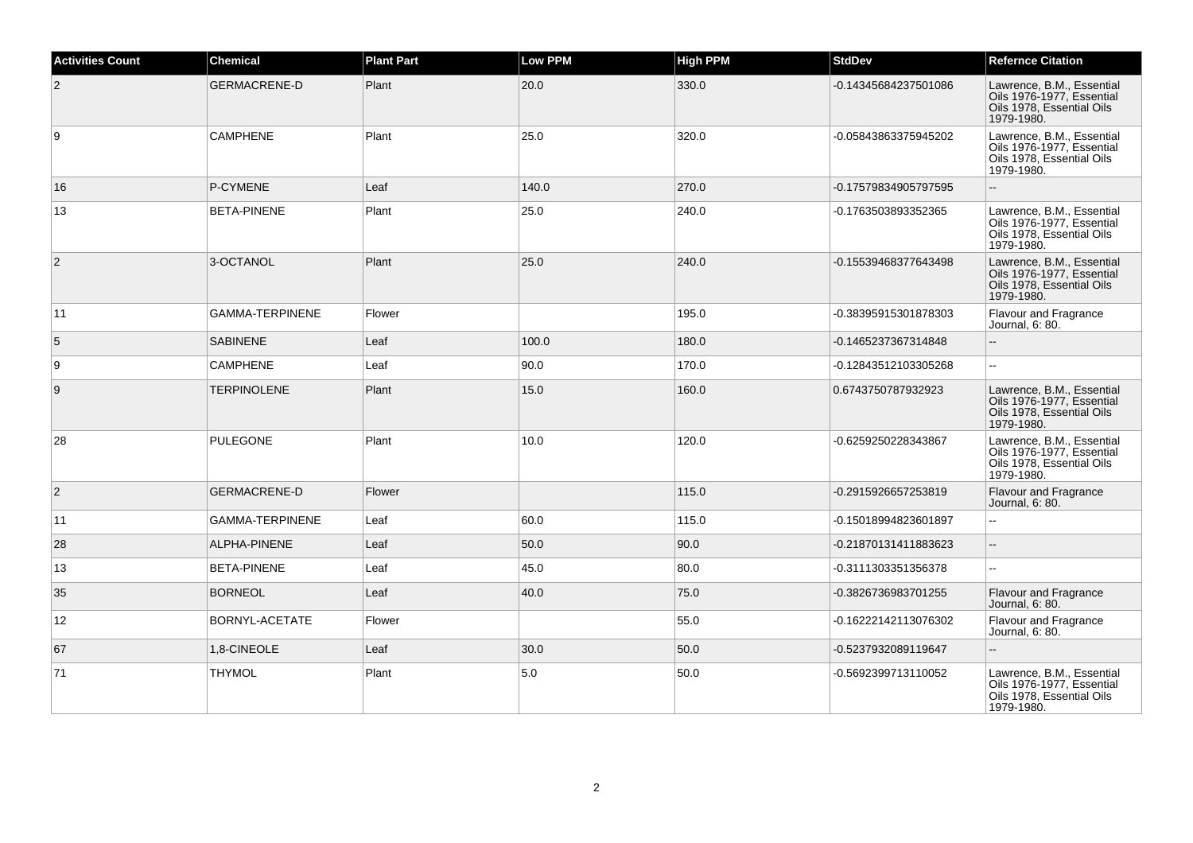| <b>Activities Count</b> | <b>Chemical</b>        | <b>Plant Part</b> | <b>Low PPM</b> | <b>High PPM</b> | <b>StdDev</b>        | <b>Refernce Citation</b>                                                                          |
|-------------------------|------------------------|-------------------|----------------|-----------------|----------------------|---------------------------------------------------------------------------------------------------|
| $\overline{2}$          | <b>GERMACRENE-D</b>    | Plant             | 20.0           | 330.0           | -0.14345684237501086 | Lawrence, B.M., Essential<br>Oils 1976-1977, Essential<br>Oils 1978, Essential Oils<br>1979-1980. |
| 9                       | <b>CAMPHENE</b>        | Plant             | 25.0           | 320.0           | -0.05843863375945202 | Lawrence, B.M., Essential<br>Oils 1976-1977, Essential<br>Oils 1978, Essential Oils<br>1979-1980. |
| 16                      | P-CYMENE               | Leaf              | 140.0          | 270.0           | -0.17579834905797595 |                                                                                                   |
| 13                      | <b>BETA-PINENE</b>     | Plant             | 25.0           | 240.0           | -0.1763503893352365  | Lawrence, B.M., Essential<br>Oils 1976-1977, Essential<br>Oils 1978, Essential Oils<br>1979-1980. |
| $\overline{2}$          | 3-OCTANOL              | Plant             | 25.0           | 240.0           | -0.15539468377643498 | Lawrence, B.M., Essential<br>Oils 1976-1977, Essential<br>Oils 1978, Essential Oils<br>1979-1980. |
| 11                      | <b>GAMMA-TERPINENE</b> | Flower            |                | 195.0           | -0.38395915301878303 | <b>Flavour and Fragrance</b><br>Journal, 6: 80.                                                   |
| 5                       | <b>SABINENE</b>        | Leaf              | 100.0          | 180.0           | -0.1465237367314848  |                                                                                                   |
| 9                       | <b>CAMPHENE</b>        | Leaf              | 90.0           | 170.0           | -0.12843512103305268 | ă.                                                                                                |
| 9                       | <b>TERPINOLENE</b>     | Plant             | 15.0           | 160.0           | 0.6743750787932923   | Lawrence, B.M., Essential<br>Oils 1976-1977, Essential<br>Oils 1978, Essential Oils<br>1979-1980. |
| 28                      | <b>PULEGONE</b>        | Plant             | 10.0           | 120.0           | -0.6259250228343867  | Lawrence, B.M., Essential<br>Oils 1976-1977, Essential<br>Oils 1978, Essential Oils<br>1979-1980. |
| 2                       | <b>GERMACRENE-D</b>    | Flower            |                | 115.0           | -0.2915926657253819  | Flavour and Fragrance<br>Journal, 6: 80.                                                          |
| 11                      | GAMMA-TERPINENE        | Leaf              | 60.0           | 115.0           | -0.15018994823601897 |                                                                                                   |
| 28                      | ALPHA-PINENE           | Leaf              | 50.0           | 90.0            | -0.21870131411883623 | ă.                                                                                                |
| 13                      | <b>BETA-PINENE</b>     | Leaf              | 45.0           | 80.0            | -0.3111303351356378  | Ξ.                                                                                                |
| 35                      | <b>BORNEOL</b>         | Leaf              | 40.0           | 75.0            | -0.3826736983701255  | Flavour and Fragrance<br>Journal, 6: 80.                                                          |
| 12                      | BORNYL-ACETATE         | Flower            |                | 55.0            | -0.16222142113076302 | Flavour and Fragrance<br>Journal, 6: 80.                                                          |
| 67                      | 1,8-CINEOLE            | Leaf              | 30.0           | 50.0            | -0.5237932089119647  |                                                                                                   |
| 71                      | <b>THYMOL</b>          | Plant             | 5.0            | 50.0            | -0.5692399713110052  | Lawrence, B.M., Essential<br>Oils 1976-1977, Essential<br>Oils 1978, Essential Oils<br>1979-1980. |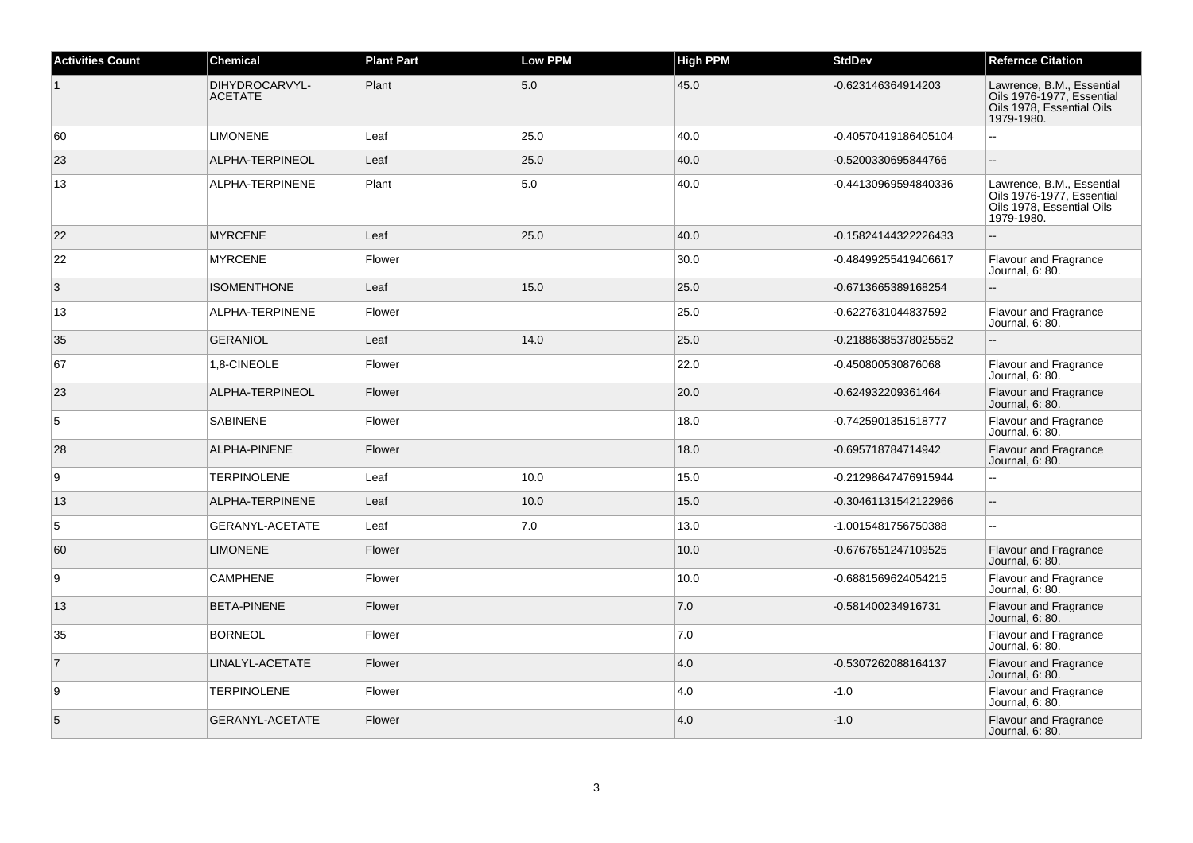| <b>Activities Count</b> | <b>Chemical</b>                  | <b>Plant Part</b> | <b>Low PPM</b> | <b>High PPM</b> | <b>StdDev</b>        | <b>Refernce Citation</b>                                                                          |
|-------------------------|----------------------------------|-------------------|----------------|-----------------|----------------------|---------------------------------------------------------------------------------------------------|
| $\mathbf{1}$            | DIHYDROCARVYL-<br><b>ACETATE</b> | Plant             | 5.0            | 45.0            | -0.623146364914203   | Lawrence, B.M., Essential<br>Oils 1976-1977, Essential<br>Oils 1978, Essential Oils<br>1979-1980. |
| 60                      | <b>LIMONENE</b>                  | Leaf              | 25.0           | 40.0            | -0.40570419186405104 | $\mathbb{Z}^2$                                                                                    |
| 23                      | ALPHA-TERPINEOL                  | Leaf              | 25.0           | 40.0            | -0.5200330695844766  | $\sim$                                                                                            |
| 13                      | ALPHA-TERPINENE                  | Plant             | 5.0            | 40.0            | -0.44130969594840336 | Lawrence, B.M., Essential<br>Oils 1976-1977. Essential<br>Oils 1978, Essential Oils<br>1979-1980. |
| 22                      | <b>MYRCENE</b>                   | Leaf              | 25.0           | 40.0            | -0.15824144322226433 | $\overline{\phantom{a}}$                                                                          |
| 22                      | <b>MYRCENE</b>                   | Flower            |                | 30.0            | -0.48499255419406617 | Flavour and Fragrance<br>Journal, 6: 80.                                                          |
| 3                       | <b>ISOMENTHONE</b>               | Leaf              | 15.0           | 25.0            | -0.6713665389168254  | $\sim$                                                                                            |
| 13                      | ALPHA-TERPINENE                  | Flower            |                | 25.0            | -0.6227631044837592  | Flavour and Fragrance<br>Journal, 6: 80.                                                          |
| 35                      | <b>GERANIOL</b>                  | Leaf              | 14.0           | 25.0            | -0.21886385378025552 | $\sim$                                                                                            |
| 67                      | 1,8-CINEOLE                      | Flower            |                | 22.0            | -0.450800530876068   | <b>Flavour and Fragrance</b><br>Journal, 6: 80.                                                   |
| 23                      | ALPHA-TERPINEOL                  | Flower            |                | 20.0            | -0.624932209361464   | <b>Flavour and Fragrance</b><br>Journal, 6: 80.                                                   |
| 5                       | <b>SABINENE</b>                  | Flower            |                | 18.0            | -0.7425901351518777  | Flavour and Fragrance<br>Journal, 6: 80.                                                          |
| 28                      | ALPHA-PINENE                     | Flower            |                | 18.0            | -0.695718784714942   | <b>Flavour and Fragrance</b><br>Journal, 6: 80.                                                   |
| 9                       | <b>TERPINOLENE</b>               | Leaf              | 10.0           | 15.0            | -0.21298647476915944 | $\sim$                                                                                            |
| 13                      | ALPHA-TERPINENE                  | Leaf              | 10.0           | 15.0            | -0.30461131542122966 |                                                                                                   |
| 5                       | GERANYL-ACETATE                  | Leaf              | 7.0            | 13.0            | -1.0015481756750388  | $\mathbf{u}$                                                                                      |
| 60                      | <b>LIMONENE</b>                  | Flower            |                | 10.0            | -0.6767651247109525  | Flavour and Fragrance<br>Journal, 6: 80.                                                          |
| 9                       | <b>CAMPHENE</b>                  | Flower            |                | 10.0            | -0.6881569624054215  | Flavour and Fragrance<br>Journal, 6: 80.                                                          |
| 13                      | <b>BETA-PINENE</b>               | Flower            |                | 7.0             | -0.581400234916731   | Flavour and Fragrance<br>Journal, 6: 80.                                                          |
| 35                      | <b>BORNEOL</b>                   | Flower            |                | 7.0             |                      | Flavour and Fragrance<br>Journal, 6: 80.                                                          |
| $\overline{7}$          | LINALYL-ACETATE                  | Flower            |                | 4.0             | -0.5307262088164137  | Flavour and Fragrance<br>Journal, 6: 80.                                                          |
| 9                       | <b>TERPINOLENE</b>               | Flower            |                | 4.0             | $-1.0$               | Flavour and Fragrance<br>Journal, 6: 80.                                                          |
| 5                       | GERANYL-ACETATE                  | Flower            |                | 4.0             | $-1.0$               | <b>Flavour and Fragrance</b><br>Journal, 6: 80.                                                   |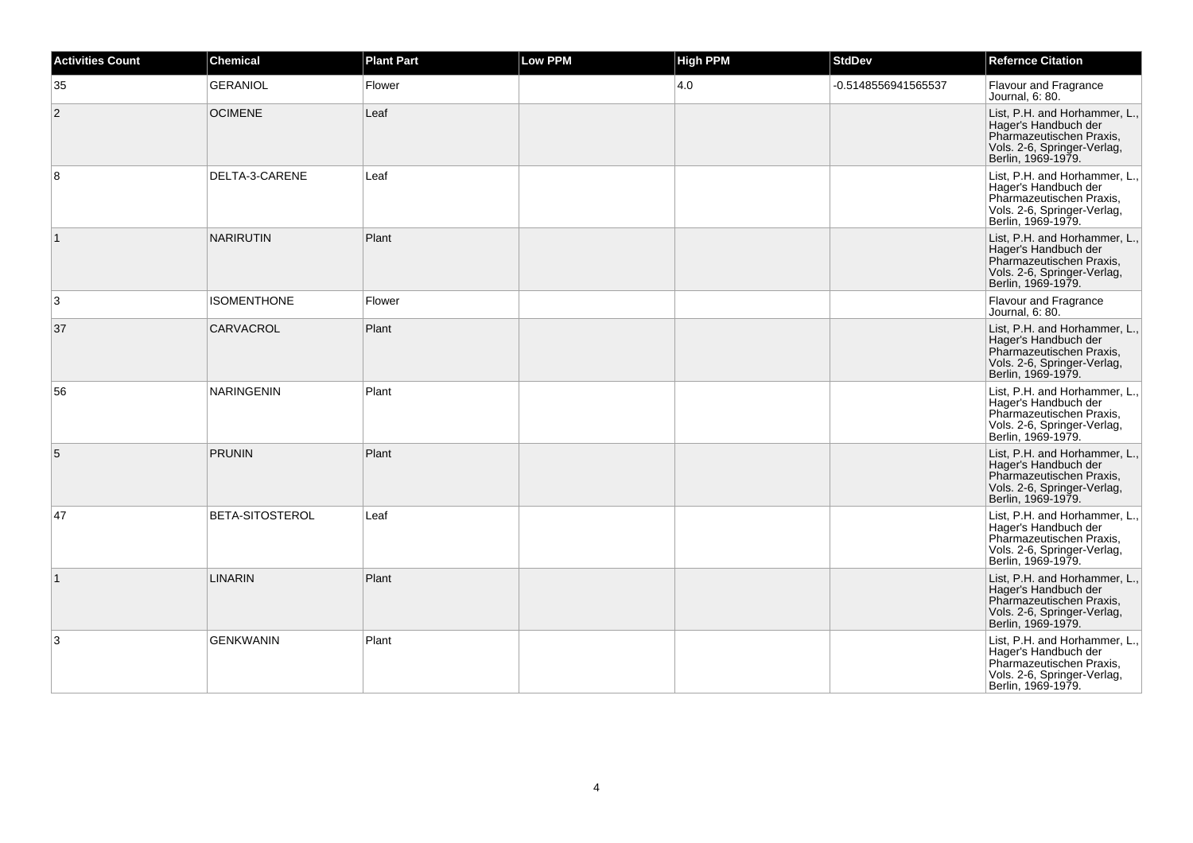| <b>Activities Count</b> | <b>Chemical</b>        | <b>Plant Part</b> | <b>Low PPM</b> | <b>High PPM</b> | <b>StdDev</b>       | <b>Refernce Citation</b>                                                                                                               |
|-------------------------|------------------------|-------------------|----------------|-----------------|---------------------|----------------------------------------------------------------------------------------------------------------------------------------|
| 35                      | <b>GERANIOL</b>        | Flower            |                | 4.0             | -0.5148556941565537 | <b>Flavour and Fragrance</b><br>Journal, 6: 80.                                                                                        |
| $\overline{2}$          | <b>OCIMENE</b>         | Leaf              |                |                 |                     | List, P.H. and Horhammer, L.,<br>Hager's Handbuch der<br>Pharmazeutischen Praxis,<br>Vols. 2-6, Springer-Verlag,<br>Berlin, 1969-1979. |
| 8                       | DELTA-3-CARENE         | Leaf              |                |                 |                     | List, P.H. and Horhammer, L.,<br>Hager's Handbuch der<br>Pharmazeutischen Praxis,<br>Vols. 2-6, Springer-Verlag,<br>Berlin, 1969-1979. |
| $\vert$ 1               | <b>NARIRUTIN</b>       | Plant             |                |                 |                     | List, P.H. and Horhammer, L.,<br>Hager's Handbuch der<br>Pharmazeutischen Praxis,<br>Vols. 2-6, Springer-Verlag,<br>Berlin, 1969-1979. |
| 3                       | <b>ISOMENTHONE</b>     | Flower            |                |                 |                     | Flavour and Fragrance<br>Journal, 6: 80.                                                                                               |
| 37                      | <b>CARVACROL</b>       | Plant             |                |                 |                     | List, P.H. and Horhammer, L.,<br>Hager's Handbuch der<br>Pharmazeutischen Praxis,<br>Vols. 2-6, Springer-Verlag,<br>Berlin, 1969-1979. |
| 56                      | <b>NARINGENIN</b>      | Plant             |                |                 |                     | List, P.H. and Horhammer, L.,<br>Hager's Handbuch der<br>Pharmazeutischen Praxis,<br>Vols. 2-6, Springer-Verlag,<br>Berlin, 1969-1979. |
| 5                       | <b>PRUNIN</b>          | Plant             |                |                 |                     | List, P.H. and Horhammer, L.,<br>Hager's Handbuch der<br>Pharmazeutischen Praxis,<br>Vols. 2-6, Springer-Verlag,<br>Berlin, 1969-1979. |
| 47                      | <b>BETA-SITOSTEROL</b> | Leaf              |                |                 |                     | List, P.H. and Horhammer, L.,<br>Hager's Handbuch der<br>Pharmazeutischen Praxis,<br>Vols. 2-6, Springer-Verlag,<br>Berlin, 1969-1979. |
| $\vert$ 1               | <b>LINARIN</b>         | Plant             |                |                 |                     | List, P.H. and Horhammer, L.,<br>Hager's Handbuch der<br>Pharmazeutischen Praxis,<br>Vols. 2-6, Springer-Verlag,<br>Berlin. 1969-1979. |
| 3                       | <b>GENKWANIN</b>       | Plant             |                |                 |                     | List, P.H. and Horhammer, L.,<br>Hager's Handbuch der<br>Pharmazeutischen Praxis,<br>Vols. 2-6, Springer-Verlag,<br>Berlin, 1969-1979. |